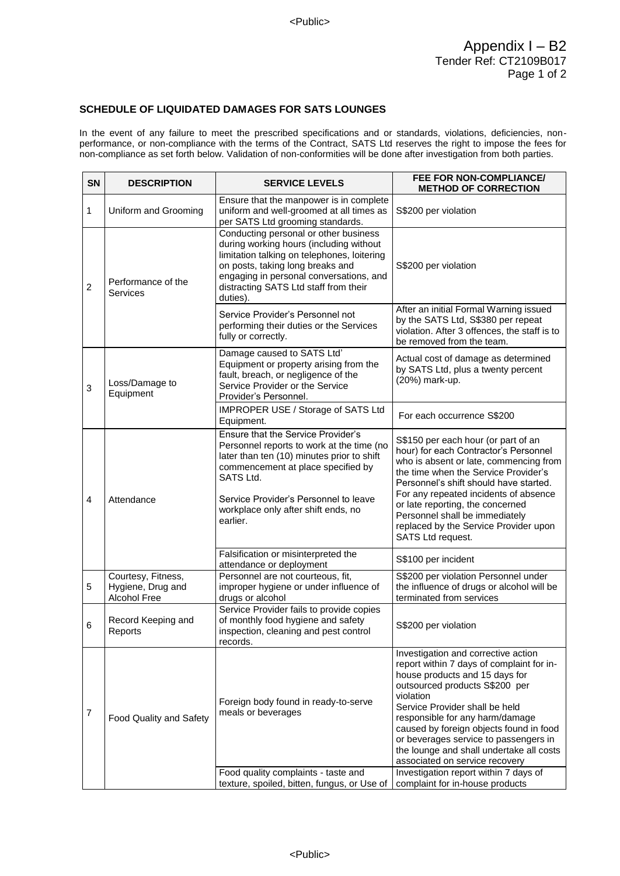## **SCHEDULE OF LIQUIDATED DAMAGES FOR SATS LOUNGES**

In the event of any failure to meet the prescribed specifications and or standards, violations, deficiencies, nonperformance, or non-compliance with the terms of the Contract, SATS Ltd reserves the right to impose the fees for non-compliance as set forth below. Validation of non-conformities will be done after investigation from both parties.

| SN             | <b>DESCRIPTION</b>                                      | <b>SERVICE LEVELS</b>                                                                                                                                                                                                                                                        | FEE FOR NON-COMPLIANCE/<br><b>METHOD OF CORRECTION</b>                                                                                                                                                                                                                                                                                                                                                                                            |
|----------------|---------------------------------------------------------|------------------------------------------------------------------------------------------------------------------------------------------------------------------------------------------------------------------------------------------------------------------------------|---------------------------------------------------------------------------------------------------------------------------------------------------------------------------------------------------------------------------------------------------------------------------------------------------------------------------------------------------------------------------------------------------------------------------------------------------|
| $\mathbf{1}$   | Uniform and Grooming                                    | Ensure that the manpower is in complete<br>uniform and well-groomed at all times as<br>per SATS Ltd grooming standards.                                                                                                                                                      | S\$200 per violation                                                                                                                                                                                                                                                                                                                                                                                                                              |
| $\overline{2}$ | Performance of the<br>Services                          | Conducting personal or other business<br>during working hours (including without<br>limitation talking on telephones, loitering<br>on posts, taking long breaks and<br>engaging in personal conversations, and<br>distracting SATS Ltd staff from their<br>duties).          | S\$200 per violation                                                                                                                                                                                                                                                                                                                                                                                                                              |
|                |                                                         | Service Provider's Personnel not<br>performing their duties or the Services<br>fully or correctly.                                                                                                                                                                           | After an initial Formal Warning issued<br>by the SATS Ltd, S\$380 per repeat<br>violation. After 3 offences, the staff is to<br>be removed from the team.                                                                                                                                                                                                                                                                                         |
| $\mathbf 3$    | Loss/Damage to<br>Equipment                             | Damage caused to SATS Ltd'<br>Equipment or property arising from the<br>fault, breach, or negligence of the<br>Service Provider or the Service<br>Provider's Personnel.                                                                                                      | Actual cost of damage as determined<br>by SATS Ltd, plus a twenty percent<br>(20%) mark-up.                                                                                                                                                                                                                                                                                                                                                       |
|                |                                                         | IMPROPER USE / Storage of SATS Ltd<br>Equipment.                                                                                                                                                                                                                             | For each occurrence S\$200                                                                                                                                                                                                                                                                                                                                                                                                                        |
| $\overline{4}$ | Attendance                                              | Ensure that the Service Provider's<br>Personnel reports to work at the time (no<br>later than ten (10) minutes prior to shift<br>commencement at place specified by<br>SATS Ltd.<br>Service Provider's Personnel to leave<br>workplace only after shift ends, no<br>earlier. | S\$150 per each hour (or part of an<br>hour) for each Contractor's Personnel<br>who is absent or late, commencing from<br>the time when the Service Provider's<br>Personnel's shift should have started.<br>For any repeated incidents of absence<br>or late reporting, the concerned<br>Personnel shall be immediately<br>replaced by the Service Provider upon<br>SATS Ltd request.                                                             |
|                |                                                         | Falsification or misinterpreted the<br>attendance or deployment                                                                                                                                                                                                              | S\$100 per incident                                                                                                                                                                                                                                                                                                                                                                                                                               |
| 5              | Courtesy, Fitness,<br>Hygiene, Drug and<br>Alcohol Free | Personnel are not courteous, fit,<br>improper hygiene or under influence of<br>drugs or alcohol                                                                                                                                                                              | S\$200 per violation Personnel under<br>the influence of drugs or alcohol will be<br>terminated from services                                                                                                                                                                                                                                                                                                                                     |
| 6              | Record Keeping and<br>Reports                           | Service Provider fails to provide copies<br>of monthly food hygiene and safety<br>inspection, cleaning and pest control<br>records.                                                                                                                                          | S\$200 per violation                                                                                                                                                                                                                                                                                                                                                                                                                              |
| 7              | Food Quality and Safety                                 | Foreign body found in ready-to-serve<br>meals or beverages<br>Food quality complaints - taste and                                                                                                                                                                            | Investigation and corrective action<br>report within 7 days of complaint for in-<br>house products and 15 days for<br>outsourced products S\$200 per<br>violation<br>Service Provider shall be held<br>responsible for any harm/damage<br>caused by foreign objects found in food<br>or beverages service to passengers in<br>the lounge and shall undertake all costs<br>associated on service recovery<br>Investigation report within 7 days of |
|                |                                                         | texture, spoiled, bitten, fungus, or Use of                                                                                                                                                                                                                                  | complaint for in-house products                                                                                                                                                                                                                                                                                                                                                                                                                   |